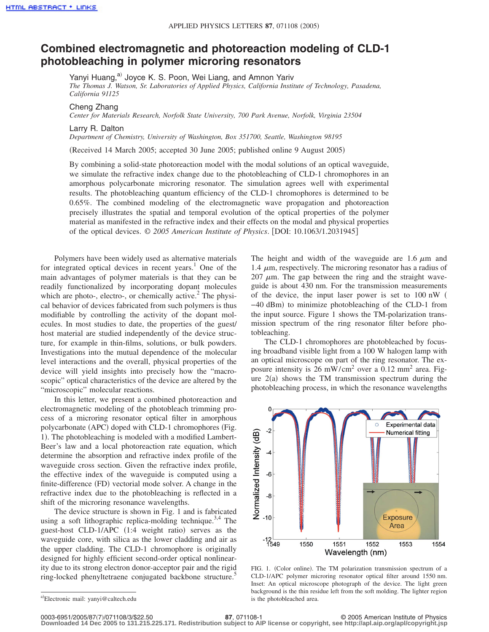## **Combined electromagnetic and photoreaction modeling of CLD-1 photobleaching in polymer microring resonators**

Yanyi Huang,<sup>a)</sup> Joyce K. S. Poon, Wei Liang, and Amnon Yariv

*The Thomas J. Watson, Sr. Laboratories of Applied Physics, California Institute of Technology, Pasadena, California 91125*

Cheng Zhang

*Center for Materials Research, Norfolk State University, 700 Park Avenue, Norfolk, Virginia 23504*

Larry R. Dalton

*Department of Chemistry, University of Washington, Box 351700, Seattle, Washington 98195*

Received 14 March 2005; accepted 30 June 2005; published online 9 August 2005-

By combining a solid-state photoreaction model with the modal solutions of an optical waveguide, we simulate the refractive index change due to the photobleaching of CLD-1 chromophores in an amorphous polycarbonate microring resonator. The simulation agrees well with experimental results. The photobleaching quantum efficiency of the CLD-1 chromophores is determined to be 0.65%. The combined modeling of the electromagnetic wave propagation and photoreaction precisely illustrates the spatial and temporal evolution of the optical properties of the polymer material as manifested in the refractive index and their effects on the modal and physical properties of the optical devices.  $\odot$  2005 American Institute of Physics. [DOI: 10.1063/1.2031945]

Polymers have been widely used as alternative materials for integrated optical devices in recent years.<sup>1</sup> One of the main advantages of polymer materials is that they can be readily functionalized by incorporating dopant molecules which are photo-, electro-, or chemically active.<sup>2</sup> The physical behavior of devices fabricated from such polymers is thus modifiable by controlling the activity of the dopant molecules. In most studies to date, the properties of the guest/ host material are studied independently of the device structure, for example in thin-films, solutions, or bulk powders. Investigations into the mutual dependence of the molecular level interactions and the overall, physical properties of the device will yield insights into precisely how the "macroscopic" optical characteristics of the device are altered by the "microscopic" molecular reactions.

In this letter, we present a combined photoreaction and electromagnetic modeling of the photobleach trimming process of a microring resonator optical filter in amorphous polycarbonate (APC) doped with CLD-1 chromophores (Fig. 1). The photobleaching is modeled with a modified Lambert-Beer's law and a local photoreaction rate equation, which determine the absorption and refractive index profile of the waveguide cross section. Given the refractive index profile, the effective index of the waveguide is computed using a finite-difference (FD) vectorial mode solver. A change in the refractive index due to the photobleaching is reflected in a shift of the microring resonance wavelengths.

The device structure is shown in Fig. 1 and is fabricated using a soft lithographic replica-molding technique.<sup>3,4</sup> The guest-host CLD-1/APC (1:4 weight ratio) serves as the waveguide core, with silica as the lower cladding and air as the upper cladding. The CLD-1 chromophore is originally designed for highly efficient second-order optical nonlinearity due to its strong electron donor-acceptor pair and the rigid ring-locked phenyltetraene conjugated backbone structure.<sup>5</sup>

The height and width of the waveguide are 1.6  $\mu$ m and 1.4  $\mu$ m, respectively. The microring resonator has a radius of 207  $\mu$ m. The gap between the ring and the straight waveguide is about 430 nm. For the transmission measurements of the device, the input laser power is set to 100 nW -40 dBm) to minimize photobleaching of the CLD-1 from the input source. Figure 1 shows the TM-polarization transmission spectrum of the ring resonator filter before photobleaching.

The CLD-1 chromophores are photobleached by focusing broadband visible light from a 100 W halogen lamp with an optical microscope on part of the ring resonator. The exposure intensity is 26 mW/cm<sup>2</sup> over a 0.12 mm<sup>2</sup> area. Figure  $2(a)$  shows the TM transmission spectrum during the photobleaching process, in which the resonance wavelengths



FIG. 1. (Color online). The TM polarization transmission spectrum of a CLD-1/APC polymer microring resonator optical filter around 1550 nm. Inset: An optical microscope photograph of the device. The light green background is the thin residue left from the soft molding. The lighter region is the photobleached area.

**Downloaded 14 Dec 2005 to 131.215.225.171. Redistribution subject to AIP license or copyright, see http://apl.aip.org/apl/copyright.jsp**

a)Electronic mail: yanyi@caltech.edu

<sup>87, 071108-1</sup> **87, 071108-1** © 2005 American Institute of Physics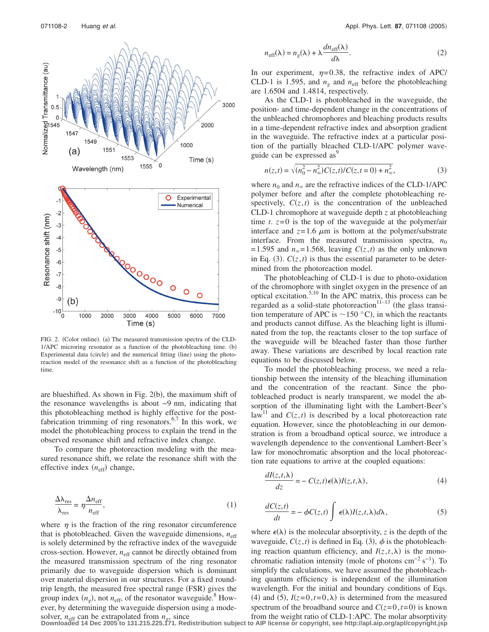

FIG. 2. (Color online). (a) The measured transmission spectra of the CLD- $1/APC$  microring resonator as a function of the photobleaching time.  $(b)$ Experimental data (circle) and the numerical fitting (line) using the photoreaction model of the resonance shift as a function of the photobleaching time.

are blueshifted. As shown in Fig. 2(b), the maximum shift of the resonance wavelengths is about −9 nm, indicating that this photobleaching method is highly effective for the postfabrication trimming of ring resonators.<sup>6,7</sup> In this work, we model the photobleaching process to explain the trend in the observed resonance shift and refractive index change.

To compare the photoreaction modeling with the measured resonance shift, we relate the resonance shift with the effective index ( $n_{\text{eff}}$ ) change,

$$
\frac{\Delta\lambda_{\rm res}}{\lambda_{\rm res}} = \eta \frac{\Delta n_{\rm eff}}{n_{\rm eff}},\tag{1}
$$

where  $\eta$  is the fraction of the ring resonator circumference that is photobleached. Given the waveguide dimensions,  $n_{\text{eff}}$ is solely determined by the refractive index of the waveguide cross-section. However,  $n_{\text{eff}}$  cannot be directly obtained from the measured transmission spectrum of the ring resonator primarily due to waveguide dispersion which is dominant over material dispersion in our structures. For a fixed roundtrip length, the measured free spectral range (FSR) gives the group index  $(n_g)$ , not  $n_{\text{eff}}$ , of the resonator waveguide.<sup>8</sup> However, by determining the waveguide dispersion using a mode-

$$
n_{\text{eff}}(\lambda) = n_g(\lambda) + \lambda \frac{dn_{\text{eff}}(\lambda)}{d\lambda}.
$$
 (2)

In our experiment,  $\eta = 0.38$ , the refractive index of APC/ CLD-1 is 1.595, and  $n_g$  and  $n_{\text{eff}}$  before the photobleaching are 1.6504 and 1.4814, respectively.

As the CLD-1 is photobleached in the waveguide, the position- and time-dependent change in the concentrations of the unbleached chromophores and bleaching products results in a time-dependent refractive index and absorption gradient in the waveguide. The refractive index at a particular position of the partially bleached CLD-1/APC polymer waveguide can be expressed as<sup>9</sup>

$$
n(z,t) = \sqrt{(n_0^2 - n_\infty^2)C(z,t)/C(z,t=0) + n_\infty^2},
$$
\n(3)

where  $n_0$  and  $n_\infty$  are the refractive indices of the CLD-1/APC polymer before and after the complete photobleaching respectively,  $C(z, t)$  is the concentration of the unbleached CLD-1 chromophore at waveguide depth *z* at photobleaching time *t*.  $z=0$  is the top of the waveguide at the polymer/air interface and  $z=1.6 \mu m$  is bottom at the polymer/substrate interface. From the measured transmission spectra,  $n_0$  $= 1.595$  and  $n_{\infty} = 1.568$ , leaving  $C(z, t)$  as the only unknown in Eq. (3).  $C(z, t)$  is thus the essential parameter to be determined from the photoreaction model.

The photobleaching of CLD-1 is due to photo-oxidation of the chromophore with singlet oxygen in the presence of an optical excitation.<sup>5,10</sup> In the APC matrix, this process can be regarded as a solid-state photoreaction<sup>11–13</sup> (the glass transition temperature of APC is  $\sim$  150 °C), in which the reactants and products cannot diffuse. As the bleaching light is illuminated from the top, the reactants closer to the top surface of the waveguide will be bleached faster than those further away. These variations are described by local reaction rate equations to be discussed below.

To model the photobleaching process, we need a relationship between the intensity of the bleaching illumination and the concentration of the reactant. Since the photobleached product is nearly transparent, we model the absorption of the illuminating light with the Lambert-Beer's law<sup>11</sup> and  $C(z, t)$  is described by a local photoreaction rate equation. However, since the photobleaching in our demonstration is from a broadband optical source, we introduce a wavelength dependence to the conventional Lambert-Beer's law for monochromatic absorption and the local photoreaction rate equations to arrive at the coupled equations:

$$
\frac{dI(z,t,\lambda)}{dz} = -C(z,t)\epsilon(\lambda)I(z,t,\lambda),\tag{4}
$$

$$
\frac{dC(z,t)}{dt} = -\phi C(z,t) \int \epsilon(\lambda) I(z,t,\lambda) d\lambda, \qquad (5)
$$

where  $\epsilon(\lambda)$  is the molecular absorptivity, *z* is the depth of the waveguide,  $C(z, t)$  is defined in Eq. (3),  $\phi$  is the photobleaching reaction quantum efficiency, and  $I(z, t, \lambda)$  is the monochromatic radiation intensity (mole of photons cm<sup>-2</sup> s<sup>-1</sup>). To simplify the calculations, we have assumed the photobleaching quantum efficiency is independent of the illumination wavelength. For the initial and boundary conditions of Eqs. (4) and (5),  $I(z=0, t=0, \lambda)$  is determined from the measured spectrum of the broadband source and  $C(z=0, t=0)$  is known

solver,  $n_{\text{eff}}$  can be extrapolated from  $n_e$ , since from the weight ratio of CLD-1:APC. The molar absorptivity<br>Downloaded 14 Dec 2005 to 131.215.225.171. Redistribution subject to AIP license or copyright, see http://a